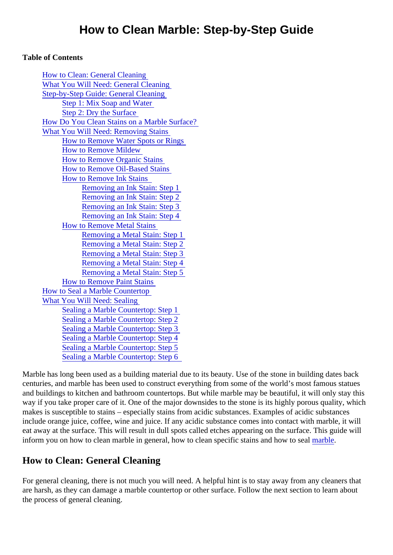#### Table of Contents

| <b>How to Clean: General Cleaning</b>        |
|----------------------------------------------|
| <b>What You Will Need: General Cleaning</b>  |
| <b>Step-by-Step Guide: General Cleaning</b>  |
| Step 1: Mix Soap and Water                   |
| Step 2: Dry the Surface                      |
| How Do You Clean Stains on a Marble Surface? |
| <b>What You Will Need: Removing Stains</b>   |
| How to Remove Water Spots or Rings           |
| <b>How to Remove Mildew</b>                  |
| <b>How to Remove Organic Stains</b>          |
| <b>How to Remove Oil-Based Stains</b>        |
| <b>How to Remove Ink Stains</b>              |
| Removing an Ink Stain: Step 1                |
| <b>Removing an Ink Stain: Step 2</b>         |
| Removing an Ink Stain: Step 3                |
| Removing an Ink Stain: Step 4                |
| <b>How to Remove Metal Stains</b>            |
| Removing a Metal Stain: Step 1               |
| Removing a Metal Stain: Step 2               |
| Removing a Metal Stain: Step 3               |
| Removing a Metal Stain: Step 4               |
| <b>Removing a Metal Stain: Step 5</b>        |
| <b>How to Remove Paint Stains</b>            |
| <b>How to Seal a Marble Countertop</b>       |
| <b>What You Will Need: Sealing</b>           |
| Sealing a Marble Countertop: Step 1          |
| Sealing a Marble Countertop: Step 2          |
| Sealing a Marble Countertop: Step 3          |
| Sealing a Marble Countertop: Step 4          |
| Sealing a Marble Countertop: Step 5          |
| Sealing a Marble Countertop: Step 6          |

Marble has long been used as a building material due to its beauty. Use of the stone in building dates back centuries, and marble has been used to construct everything from some of the world's most famous statue and buildings to kitchen and bathroom countertops. But while marble may be beautiful, it will only stay this way if you take proper care of it. One of the major downsides to the stone is its highly porous quality, which makes is susceptible to stains – especially stains from acidic substances. Examples of acidic substances include orange juice, coffee, wine and juice. If any acidic substance comes into contact with marble, it will eat away at the surface. This will result in dull spots called etches appearing on the surface. This guide will inform you on how to clean [marble](https://marble.com/marble-countertops) in general, how to clean specific stains and hownto steal

## How to Clean: General Cleaning

For general cleaning, there is not much you will need. A helpful hint is to stay away from any cleaners that are harsh, as they can damage a marble countertop or other surface. Follow the next section to learn about the process of general cleaning.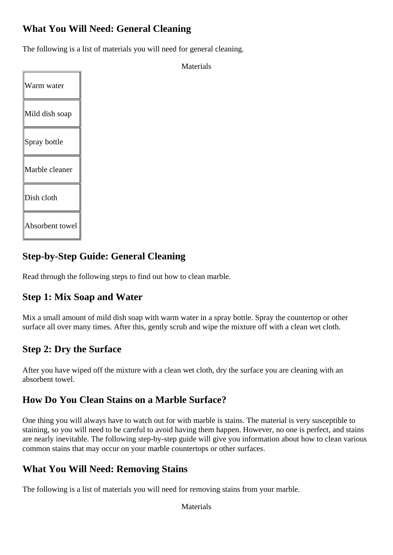## <span id="page-1-0"></span>**What You Will Need: General Cleaning**

The following is a list of materials you will need for general cleaning.

| Warm water      |
|-----------------|
| Mild dish soap  |
| Spray bottle    |
| Marble cleaner  |
| Dish cloth      |
| Absorbent towel |

**Materials** 

## **Step-by-Step Guide: General Cleaning**

Read through the following steps to find out how to clean marble.

### **Step 1: Mix Soap and Water**

Mix a small amount of mild dish soap with warm water in a spray bottle. Spray the countertop or other surface all over many times. After this, gently scrub and wipe the mixture off with a clean wet cloth.

### **Step 2: Dry the Surface**

After you have wiped off the mixture with a clean wet cloth, dry the surface you are cleaning with an absorbent towel.

### **How Do You Clean Stains on a Marble Surface?**

One thing you will always have to watch out for with marble is stains. The material is very susceptible to staining, so you will need to be careful to avoid having them happen. However, no one is perfect, and stains are nearly inevitable. The following step-by-step guide will give you information about how to clean various common stains that may occur on your marble countertops or other surfaces.

### **What You Will Need: Removing Stains**

The following is a list of materials you will need for removing stains from your marble.

Materials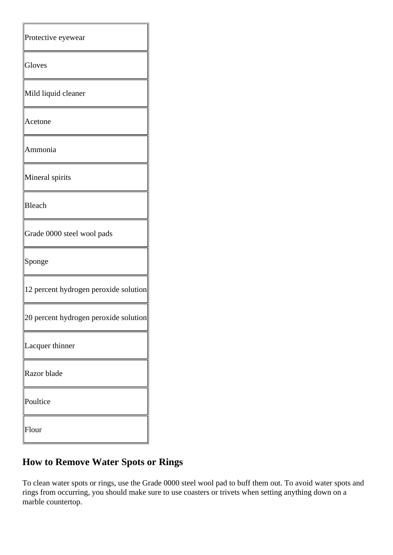<span id="page-2-0"></span>

| Protective eyewear                    |
|---------------------------------------|
| Gloves                                |
| Mild liquid cleaner                   |
| Acetone                               |
| Ammonia                               |
| Mineral spirits                       |
| <b>Bleach</b>                         |
| Grade 0000 steel wool pads            |
| Sponge                                |
| 12 percent hydrogen peroxide solution |
| 20 percent hydrogen peroxide solution |
| Lacquer thinner                       |
| Razor blade                           |
| Poultice                              |
| Flour                                 |

# **How to Remove Water Spots or Rings**

To clean water spots or rings, use the Grade 0000 steel wool pad to buff them out. To avoid water spots and rings from occurring, you should make sure to use coasters or trivets when setting anything down on a marble countertop.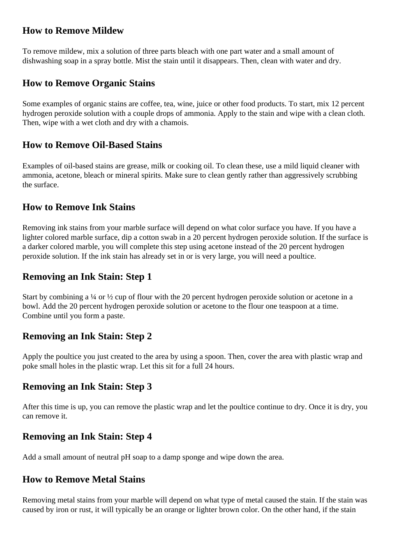### <span id="page-3-0"></span>**How to Remove Mildew**

To remove mildew, mix a solution of three parts bleach with one part water and a small amount of dishwashing soap in a spray bottle. Mist the stain until it disappears. Then, clean with water and dry.

### **How to Remove Organic Stains**

Some examples of organic stains are coffee, tea, wine, juice or other food products. To start, mix 12 percent hydrogen peroxide solution with a couple drops of ammonia. Apply to the stain and wipe with a clean cloth. Then, wipe with a wet cloth and dry with a chamois.

### **How to Remove Oil-Based Stains**

Examples of oil-based stains are grease, milk or cooking oil. To clean these, use a mild liquid cleaner with ammonia, acetone, bleach or mineral spirits. Make sure to clean gently rather than aggressively scrubbing the surface.

### **How to Remove Ink Stains**

Removing ink stains from your marble surface will depend on what color surface you have. If you have a lighter colored marble surface, dip a cotton swab in a 20 percent hydrogen peroxide solution. If the surface is a darker colored marble, you will complete this step using acetone instead of the 20 percent hydrogen peroxide solution. If the ink stain has already set in or is very large, you will need a poultice.

### **Removing an Ink Stain: Step 1**

Start by combining a  $\frac{1}{4}$  or  $\frac{1}{2}$  cup of flour with the 20 percent hydrogen peroxide solution or acetone in a bowl. Add the 20 percent hydrogen peroxide solution or acetone to the flour one teaspoon at a time. Combine until you form a paste.

### **Removing an Ink Stain: Step 2**

Apply the poultice you just created to the area by using a spoon. Then, cover the area with plastic wrap and poke small holes in the plastic wrap. Let this sit for a full 24 hours.

### **Removing an Ink Stain: Step 3**

After this time is up, you can remove the plastic wrap and let the poultice continue to dry. Once it is dry, you can remove it.

### **Removing an Ink Stain: Step 4**

Add a small amount of neutral pH soap to a damp sponge and wipe down the area.

### **How to Remove Metal Stains**

Removing metal stains from your marble will depend on what type of metal caused the stain. If the stain was caused by iron or rust, it will typically be an orange or lighter brown color. On the other hand, if the stain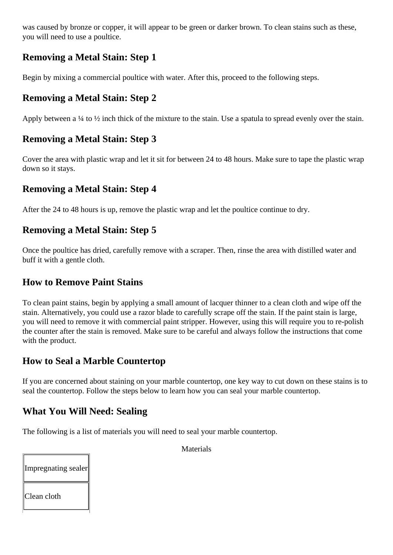<span id="page-4-0"></span>was caused by bronze or copper, it will appear to be green or darker brown. To clean stains such as these, you will need to use a poultice.

## **Removing a Metal Stain: Step 1**

Begin by mixing a commercial poultice with water. After this, proceed to the following steps.

### **Removing a Metal Stain: Step 2**

Apply between a ¼ to ½ inch thick of the mixture to the stain. Use a spatula to spread evenly over the stain.

## **Removing a Metal Stain: Step 3**

Cover the area with plastic wrap and let it sit for between 24 to 48 hours. Make sure to tape the plastic wrap down so it stays.

### **Removing a Metal Stain: Step 4**

After the 24 to 48 hours is up, remove the plastic wrap and let the poultice continue to dry.

### **Removing a Metal Stain: Step 5**

Once the poultice has dried, carefully remove with a scraper. Then, rinse the area with distilled water and buff it with a gentle cloth.

### **How to Remove Paint Stains**

To clean paint stains, begin by applying a small amount of lacquer thinner to a clean cloth and wipe off the stain. Alternatively, you could use a razor blade to carefully scrape off the stain. If the paint stain is large, you will need to remove it with commercial paint stripper. However, using this will require you to re-polish the counter after the stain is removed. Make sure to be careful and always follow the instructions that come with the product.

### **How to Seal a Marble Countertop**

If you are concerned about staining on your marble countertop, one key way to cut down on these stains is to seal the countertop. Follow the steps below to learn how you can seal your marble countertop.

### **What You Will Need: Sealing**

The following is a list of materials you will need to seal your marble countertop.

Impregnating sealer Clean cloth

Materials